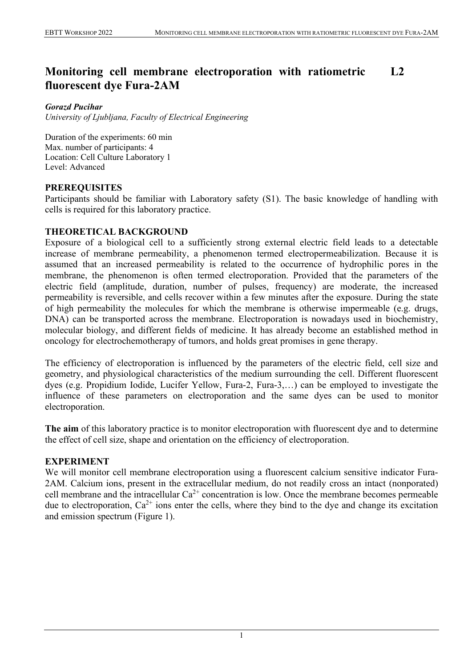#### **Monitoring cell membrane electroporation with ratiometric fluorescent dye Fura-2AM L2**

#### *Gorazd Pucihar*

*University of Ljubljana, Faculty of Electrical Engineering*

Duration of the experiments: 60 min Max. number of participants: 4 Location: Cell Culture Laboratory 1 Level: Advanced

## **PREREQUISITES**

Participants should be familiar with Laboratory safety (S1). The basic knowledge of handling with cells is required for this laboratory practice.

## **THEORETICAL BACKGROUND**

Exposure of a biological cell to a sufficiently strong external electric field leads to a detectable increase of membrane permeability, a phenomenon termed electropermeabilization. Because it is assumed that an increased permeability is related to the occurrence of hydrophilic pores in the membrane, the phenomenon is often termed electroporation. Provided that the parameters of the electric field (amplitude, duration, number of pulses, frequency) are moderate, the increased permeability is reversible, and cells recover within a few minutes after the exposure. During the state of high permeability the molecules for which the membrane is otherwise impermeable (e.g. drugs, DNA) can be transported across the membrane. Electroporation is nowadays used in biochemistry, molecular biology, and different fields of medicine. It has already become an established method in oncology for electrochemotherapy of tumors, and holds great promises in gene therapy.

The efficiency of electroporation is influenced by the parameters of the electric field, cell size and geometry, and physiological characteristics of the medium surrounding the cell. Different fluorescent dyes (e.g. Propidium Iodide, Lucifer Yellow, Fura-2, Fura-3,…) can be employed to investigate the influence of these parameters on electroporation and the same dyes can be used to monitor electroporation.

**The aim** of this laboratory practice is to monitor electroporation with fluorescent dye and to determine the effect of cell size, shape and orientation on the efficiency of electroporation.

### **EXPERIMENT**

We will monitor cell membrane electroporation using a fluorescent calcium sensitive indicator Fura-2AM. Calcium ions, present in the extracellular medium, do not readily cross an intact (nonporated) cell membrane and the intracellular  $Ca^{2+}$  concentration is low. Once the membrane becomes permeable due to electroporation,  $Ca^{2+}$  ions enter the cells, where they bind to the dye and change its excitation and emission spectrum (Figure 1).

1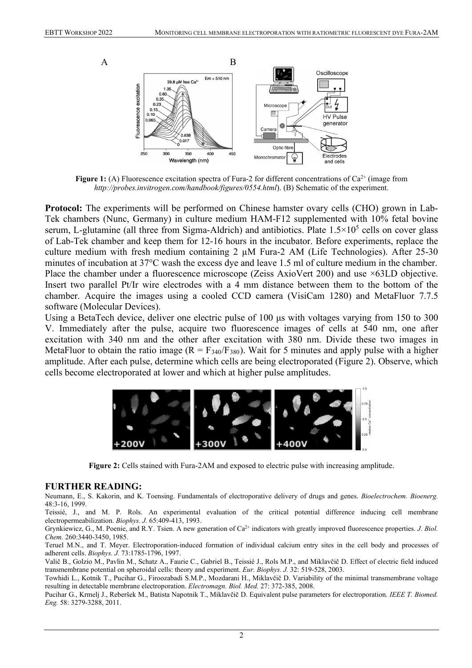

**Figure 1:** (A) Fluorescence excitation spectra of Fura-2 for different concentrations of  $Ca^{2+}$  (image from *http://probes.invitrogen.com/handbook/figures/0554.html*). (B) Schematic of the experiment.

**Protocol:** The experiments will be performed on Chinese hamster ovary cells (CHO) grown in Lab-Tek chambers (Nunc, Germany) in culture medium HAM-F12 supplemented with 10% fetal bovine serum, L-glutamine (all three from Sigma-Aldrich) and antibiotics. Plate  $1.5 \times 10^5$  cells on cover glass of Lab-Tek chamber and keep them for 12-16 hours in the incubator. Before experiments, replace the culture medium with fresh medium containing  $2 \mu M$  Fura-2 AM (Life Technologies). After 25-30 minutes of incubation at 37°C wash the excess dye and leave 1.5 ml of culture medium in the chamber. Place the chamber under a fluorescence microscope (Zeiss AxioVert 200) and use ×63LD objective. Insert two parallel Pt/Ir wire electrodes with a 4 mm distance between them to the bottom of the chamber. Acquire the images using a cooled CCD camera (VisiCam 1280) and MetaFluor 7.7.5 software (Molecular Devices).

Using a BetaTech device, deliver one electric pulse of 100 μs with voltages varying from 150 to 300 V. Immediately after the pulse, acquire two fluorescence images of cells at 540 nm, one after excitation with 340 nm and the other after excitation with 380 nm. Divide these two images in MetaFluor to obtain the ratio image  $(R = F_{340}/F_{380})$ . Wait for 5 minutes and apply pulse with a higher amplitude. After each pulse, determine which cells are being electroporated (Figure 2). Observe, which cells become electroporated at lower and which at higher pulse amplitudes.



**Figure 2:** Cells stained with Fura-2AM and exposed to electric pulse with increasing amplitude.

#### **FURTHER READING:**

Neumann, E., S. Kakorin, and K. Toensing. Fundamentals of electroporative delivery of drugs and genes. *Bioelectrochem. Bioenerg.* 48:3-16, 1999.

Teissié, J., and M. P. Rols. An experimental evaluation of the critical potential difference inducing cell membrane electropermeabilization. *Biophys. J.* 65:409-413, 1993.

Grynkiewicz, G., M. Poenie, and R.Y. Tsien. A new generation of Ca<sup>2+</sup> indicators with greatly improved fluorescence properties. *J. Biol. Chem.* 260:3440-3450, 1985.

Teruel M.N., and T. Meyer. Electroporation-induced formation of individual calcium entry sites in the cell body and processes of adherent cells. *Biophys. J.* 73:1785-1796, 1997.

Valič B., Golzio M., Pavlin M., Schatz A., Faurie C., Gabriel B., Teissié J., Rols M.P., and Miklavčič D. Effect of electric field induced transmembrane potential on spheroidal cells: theory and experiment. *Eur. Biophys. J.* 32: 519-528, 2003.

Towhidi L., Kotnik T., Pucihar G., Firoozabadi S.M.P., Mozdarani H., Miklavčič D. Variability of the minimal transmembrane voltage resulting in detectable membrane electroporation. *Electromagn. Biol. Med.* 27: 372-385, 2008.

Pucihar G., Krmelj J., Reberšek M., Batista Napotnik T., Miklavčič D. Equivalent pulse parameters for electroporation. *IEEE T. Biomed. Eng.* 58: 3279-3288, 2011.